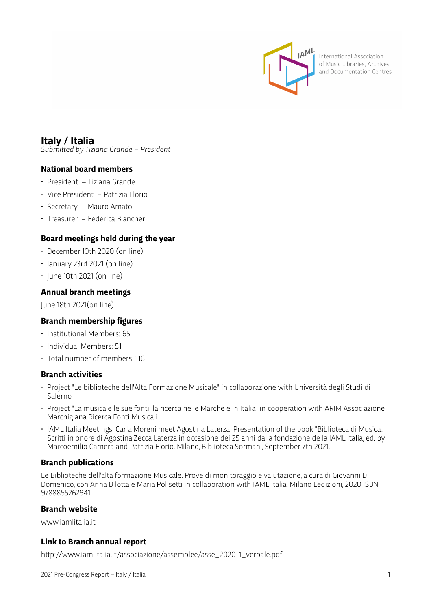

International Association of Music Libraries, Archives and Documentation Centres

# **Italy / Italia**

*Submitted by Tiziana Grande – President*

## **National board members**

- President Tiziana Grande
- Vice President Patrizia Florio
- Secretary Mauro Amato
- Treasurer Federica Biancheri

## **Board meetings held during the year**

- December 10th 2020 (on line)
- January 23rd 2021 (on line)
- June 10th 2021 (on line)

## **Annual branch meetings**

June 18th 2021(on line)

## **Branch membership figures**

- Institutional Members: 65
- Individual Members: 51
- Total number of members: 116

#### **Branch activities**

- Project "Le biblioteche dell'Alta Formazione Musicale" in collaborazione with Università degli Studi di Salerno
- Project "La musica e le sue fonti: la ricerca nelle Marche e in Italia" in cooperation with ARIM Associazione Marchigiana Ricerca Fonti Musicali
- IAML Italia Meetings: Carla Moreni meet Agostina Laterza. Presentation of the book "Biblioteca di Musica. Scritti in onore di Agostina Zecca Laterza in occasione dei 25 anni dalla fondazione della IAML Italia, ed. by Marcoemilio Camera and Patrizia Florio. Milano, Biblioteca Sormani, September 7th 2021.

## **Branch publications**

Le Biblioteche dell'alta formazione Musicale. Prove di monitoraggio e valutazione, a cura di Giovanni Di Domenico, con Anna Bilotta e Maria Polisetti in collaboration with IAML Italia, Milano Ledizioni, 2020 ISBN 9788855262941

#### **Branch website**

www.iamlitalia.it

## **Link to Branch annual report**

http://www.iamlitalia.it/associazione/assemblee/asse\_2020-1\_verbale.pdf